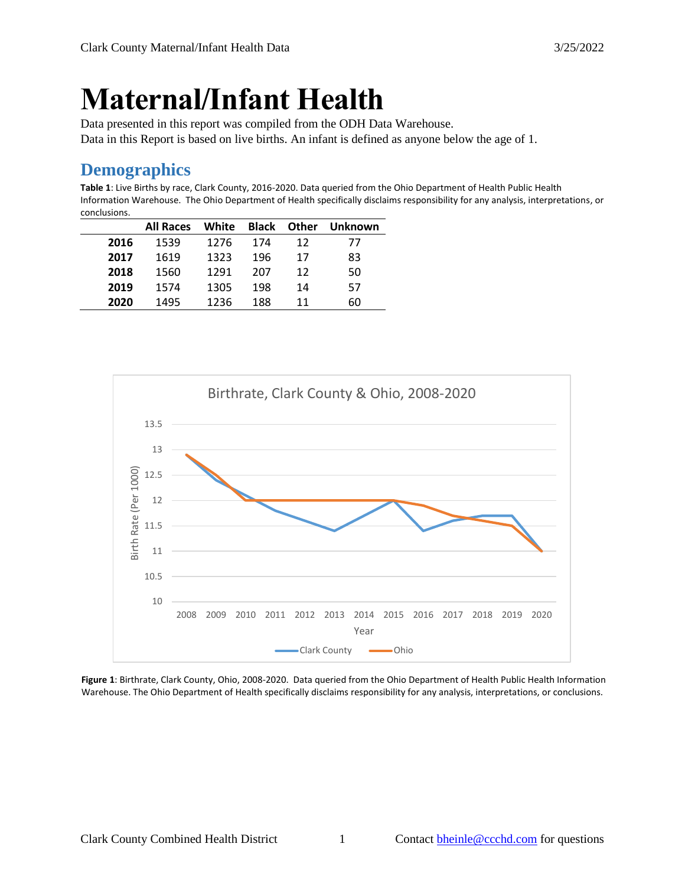# **Maternal/Infant Health**

Data presented in this report was compiled from the ODH Data Warehouse. Data in this Report is based on live births. An infant is defined as anyone below the age of 1.

# **Demographics**

**Table 1**: Live Births by race, Clark County, 2016-2020. Data queried from the Ohio Department of Health Public Health Information Warehouse. The Ohio Department of Health specifically disclaims responsibility for any analysis, interpretations, or conclusions.

|      | <b>All Races</b> | White |     | <b>Black Other</b> | Unknown |
|------|------------------|-------|-----|--------------------|---------|
| 2016 | 1539             | 1276  | 174 | 12                 | 77      |
| 2017 | 1619             | 1323  | 196 | 17                 | 83      |
| 2018 | 1560             | 1291  | 207 | 12                 | 50      |
| 2019 | 1574             | 1305  | 198 | 14                 | 57      |
| 2020 | 1495             | 1236  | 188 | 11                 | 60      |



**Figure 1**: Birthrate, Clark County, Ohio, 2008-2020. Data queried from the Ohio Department of Health Public Health Information Warehouse. The Ohio Department of Health specifically disclaims responsibility for any analysis, interpretations, or conclusions.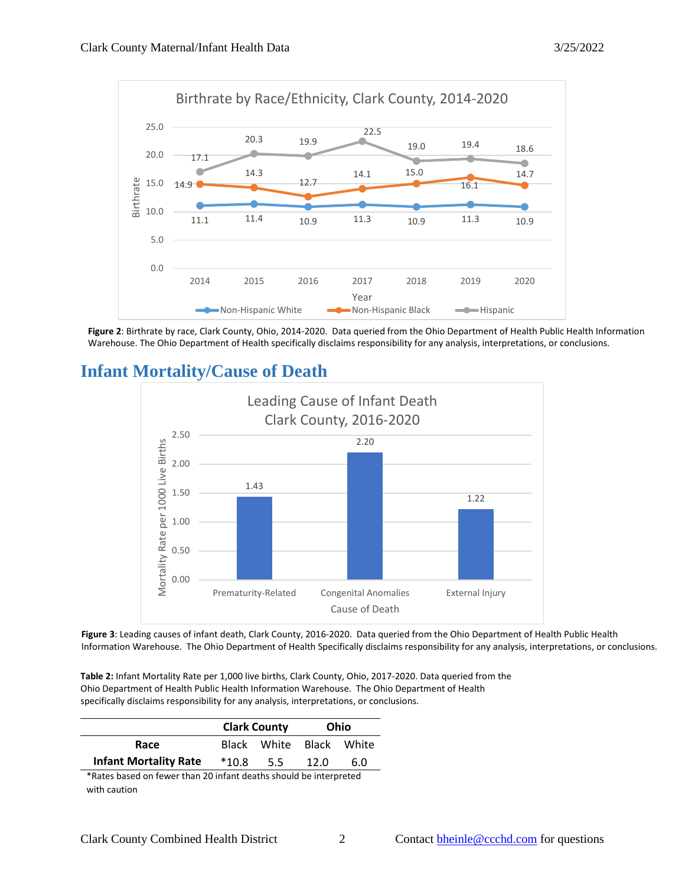

**Figure 2**: Birthrate by race, Clark County, Ohio, 2014-2020. Data queried from the Ohio Department of Health Public Health Information Warehouse. The Ohio Department of Health specifically disclaims responsibility for any analysis, interpretations, or conclusions.



**Infant Mortality/Cause of Death**

**Figure 3**: Leading causes of infant death, Clark County, 2016-2020. Data queried from the Ohio Department of Health Public Health Information Warehouse. The Ohio Department of Health Specifically disclaims responsibility for any analysis, interpretations, or conclusions.

**Table 2:** Infant Mortality Rate per 1,000 live births, Clark County, Ohio, 2017-2020. Data queried from the Ohio Department of Health Public Health Information Warehouse. The Ohio Department of Health specifically disclaims responsibility for any analysis, interpretations, or conclusions.

|                              |         | <b>Clark County</b>     | Ohio |     |  |
|------------------------------|---------|-------------------------|------|-----|--|
| Race                         |         | Black White Black White |      |     |  |
| <b>Infant Mortality Rate</b> | $*10.8$ | 5.5                     | 12.0 | 6.0 |  |

\*Rates based on fewer than 20 infant deaths should be interpreted with caution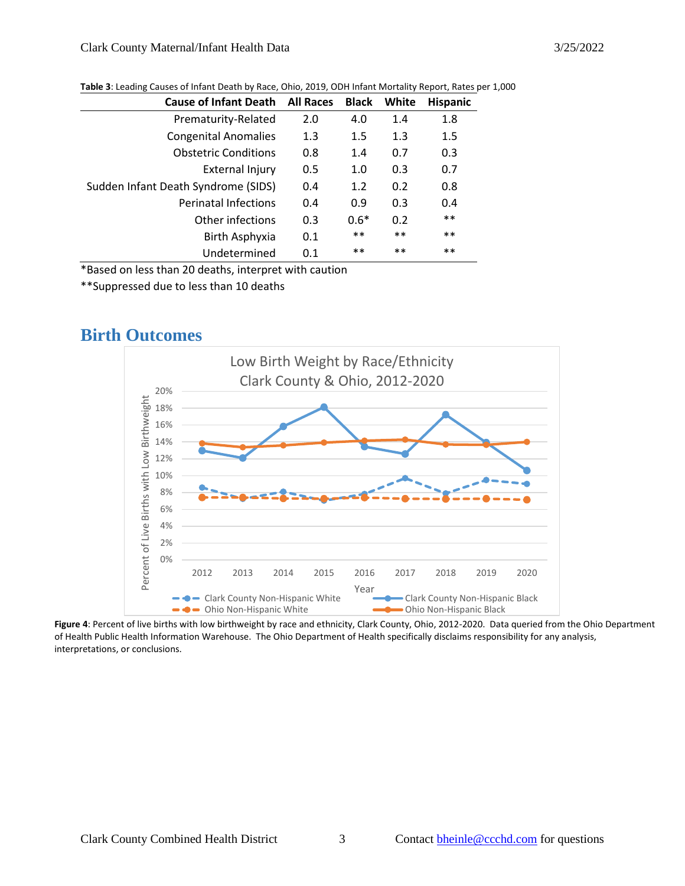| <b>Cause of Infant Death</b>        | <b>All Races</b> | <b>Black</b> | White | <b>Hispanic</b> |
|-------------------------------------|------------------|--------------|-------|-----------------|
| Prematurity-Related                 | 2.0              | 4.0          | 1.4   | 1.8             |
| <b>Congenital Anomalies</b>         | 1.3              | 1.5          | 1.3   | 1.5             |
| <b>Obstetric Conditions</b>         | 0.8              | 1.4          | 0.7   | 0.3             |
| <b>External Injury</b>              | 0.5              | 1.0          | 0.3   | 0.7             |
| Sudden Infant Death Syndrome (SIDS) | 0.4              | 1.2          | 0.2   | 0.8             |
| <b>Perinatal Infections</b>         | 0.4              | 0.9          | 0.3   | 0.4             |
| Other infections                    | 0.3              | $0.6*$       | 0.2   | $***$           |
| Birth Asphyxia                      | 0.1              | $***$        | $***$ | **              |
| Undetermined                        | 0.1              | $***$        | $***$ | $***$           |

#### **Table 3**: Leading Causes of Infant Death by Race, Ohio, 2019, ODH Infant Mortality Report, Rates per 1,000

\*Based on less than 20 deaths, interpret with caution

\*\*Suppressed due to less than 10 deaths

### **Birth Outcomes**



**Figure 4**: Percent of live births with low birthweight by race and ethnicity, Clark County, Ohio, 2012-2020. Data queried from the Ohio Department of Health Public Health Information Warehouse. The Ohio Department of Health specifically disclaims responsibility for any analysis, interpretations, or conclusions.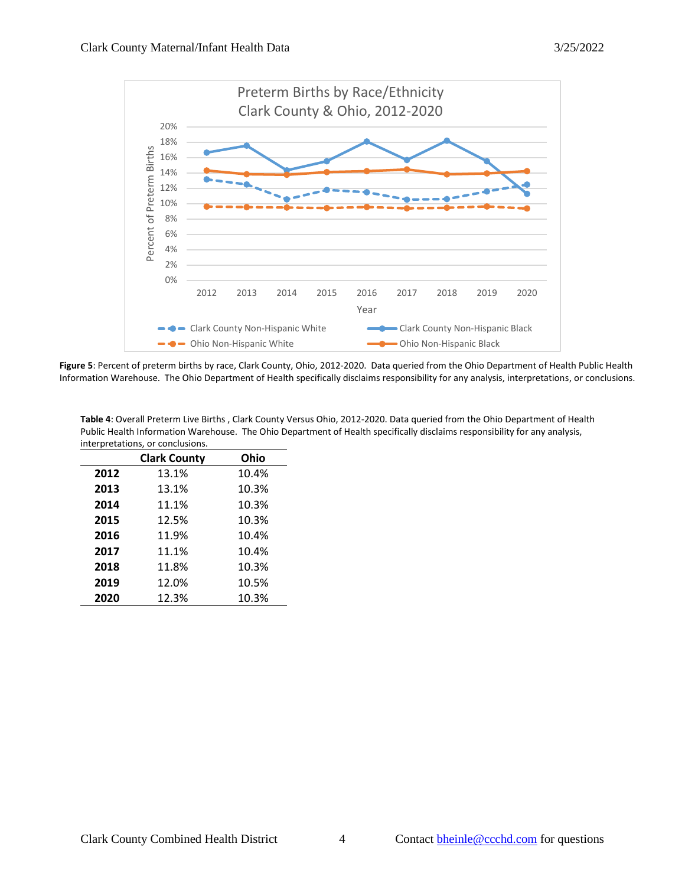

**Figure 5**: Percent of preterm births by race, Clark County, Ohio, 2012-2020. Data queried from the Ohio Department of Health Public Health Information Warehouse. The Ohio Department of Health specifically disclaims responsibility for any analysis, interpretations, or conclusions.

**Table 4**: Overall Preterm Live Births , Clark County Versus Ohio, 2012-2020. Data queried from the Ohio Department of Health Public Health Information Warehouse. The Ohio Department of Health specifically disclaims responsibility for any analysis, interpretations, or conclusions.

|      | <b>Clark County</b> | Ohio  |
|------|---------------------|-------|
| 2012 | 13.1%               | 10.4% |
| 2013 | 13.1%               | 10.3% |
| 2014 | 11.1%               | 10.3% |
| 2015 | 12.5%               | 10.3% |
| 2016 | 11.9%               | 10.4% |
| 2017 | 11.1%               | 10.4% |
| 2018 | 11.8%               | 10.3% |
| 2019 | 12.0%               | 10.5% |
| 2020 | 12.3%               | 10.3% |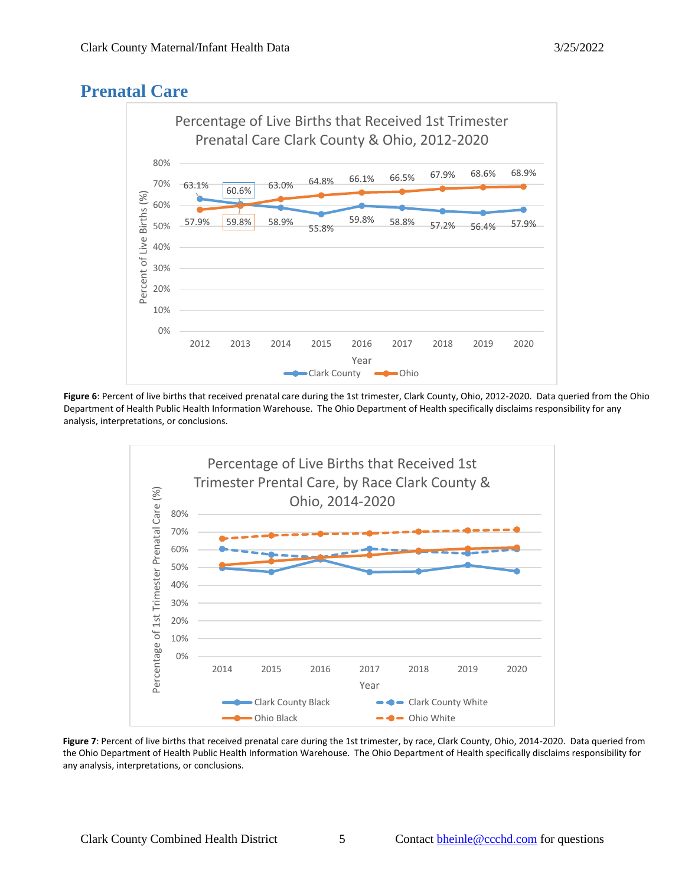# **Prenatal Care**



**Figure 6**: Percent of live births that received prenatal care during the 1st trimester, Clark County, Ohio, 2012-2020. Data queried from the Ohio Department of Health Public Health Information Warehouse. The Ohio Department of Health specifically disclaims responsibility for any analysis, interpretations, or conclusions.



**Figure 7**: Percent of live births that received prenatal care during the 1st trimester, by race, Clark County, Ohio, 2014-2020. Data queried from the Ohio Department of Health Public Health Information Warehouse. The Ohio Department of Health specifically disclaims responsibility for any analysis, interpretations, or conclusions.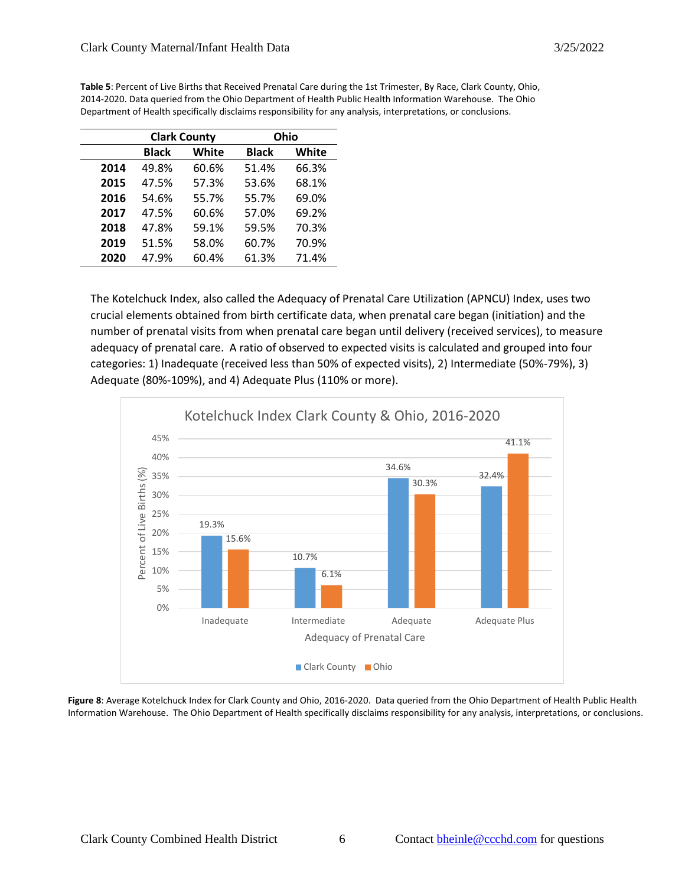|      | <b>Clark County</b> |       | Ohio         |       |
|------|---------------------|-------|--------------|-------|
|      | Black               | White | <b>Black</b> | White |
| 2014 | 49.8%               | 60.6% | 51.4%        | 66.3% |
| 2015 | 47.5%               | 57.3% | 53.6%        | 68.1% |
| 2016 | 54.6%               | 55.7% | 55.7%        | 69.0% |
| 2017 | 47.5%               | 60.6% | 57.0%        | 69.2% |
| 2018 | 47.8%               | 59.1% | 59.5%        | 70.3% |
| 2019 | 51.5%               | 58.0% | 60.7%        | 70.9% |
| 2020 | 47.9%               | 60.4% | 61.3%        | 71.4% |

**Table 5**: Percent of Live Births that Received Prenatal Care during the 1st Trimester, By Race, Clark County, Ohio, 2014-2020. Data queried from the Ohio Department of Health Public Health Information Warehouse. The Ohio Department of Health specifically disclaims responsibility for any analysis, interpretations, or conclusions.

The Kotelchuck Index, also called the Adequacy of Prenatal Care Utilization (APNCU) Index, uses two crucial elements obtained from birth certificate data, when prenatal care began (initiation) and the number of prenatal visits from when prenatal care began until delivery (received services), to measure adequacy of prenatal care. A ratio of observed to expected visits is calculated and grouped into four categories: 1) Inadequate (received less than 50% of expected visits), 2) Intermediate (50%-79%), 3) Adequate (80%-109%), and 4) Adequate Plus (110% or more).



**Figure 8**: Average Kotelchuck Index for Clark County and Ohio, 2016-2020. Data queried from the Ohio Department of Health Public Health Information Warehouse. The Ohio Department of Health specifically disclaims responsibility for any analysis, interpretations, or conclusions.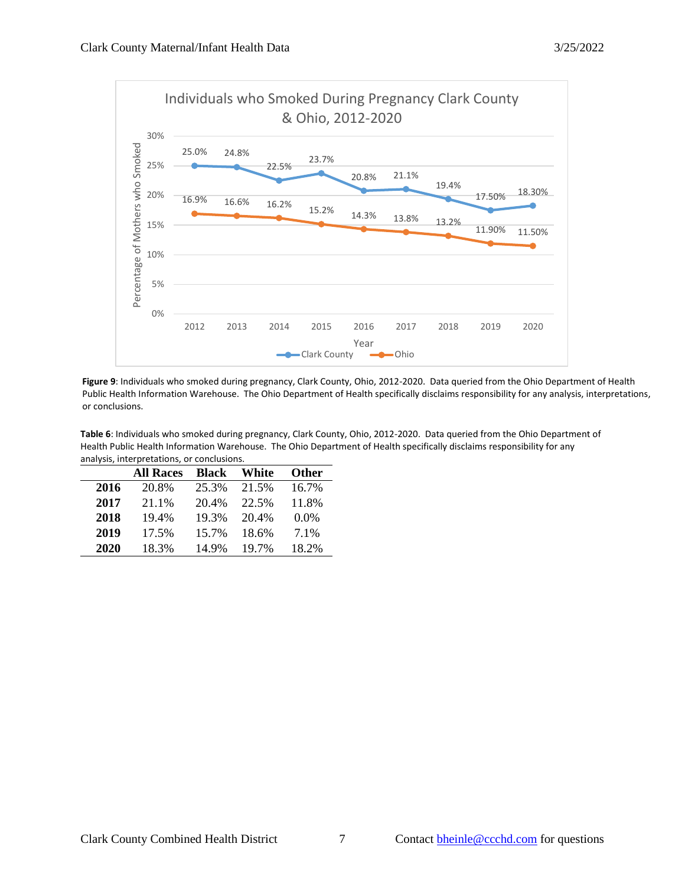

**Figure 9**: Individuals who smoked during pregnancy, Clark County, Ohio, 2012-2020. Data queried from the Ohio Department of Health Public Health Information Warehouse. The Ohio Department of Health specifically disclaims responsibility for any analysis, interpretations, or conclusions.

**Table 6**: Individuals who smoked during pregnancy, Clark County, Ohio, 2012-2020. Data queried from the Ohio Department of Health Public Health Information Warehouse. The Ohio Department of Health specifically disclaims responsibility for any analysis, interpretations, or conclusions.

|      | <b>All Races</b> | <b>Black</b> | White | Other   |
|------|------------------|--------------|-------|---------|
| 2016 | 20.8%            | 25.3%        | 21.5% | 16.7%   |
| 2017 | 21.1%            | 20.4%        | 22.5% | 11.8%   |
| 2018 | 19.4%            | 19.3%        | 20.4% | $0.0\%$ |
| 2019 | 17.5%            | 15.7%        | 18.6% | 7.1%    |
| 2020 | 18.3%            | 14.9%        | 19.7% | 18.2%   |